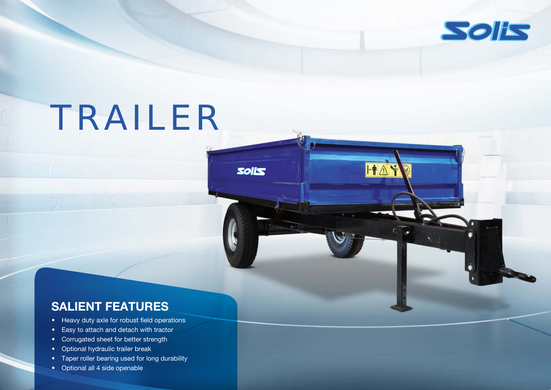

 $H$ 

# TRAILER

Solis

## **SALIENT FEATURES**

- Heavy duty axle for robust field operations
- Easy to attach and detach with tractor
- Corrugated sheet for better strength
- Optional hydraulic trailer break
- Taper roller bearing used for long durability
- Optional all 4 side openable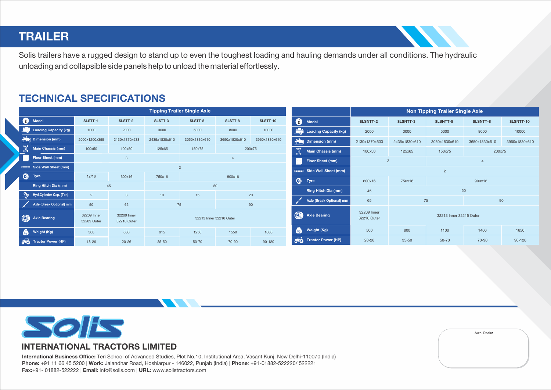### **TRAILER**

Solis trailers have a rugged design to stand up to even the toughest loading and hauling demands under all conditions. The hydraulic unloading and collapsible side panels help to unload the material effortlessly.

#### **TECHNICAL SPECIFICATIONS**

| <b>Tipping Trailer Single Axle</b>        |                            |                            |                         |               |               |                  | <b>Non Tipping Trailer Single Axle</b>  |                            |                         |               |               |               |
|-------------------------------------------|----------------------------|----------------------------|-------------------------|---------------|---------------|------------------|-----------------------------------------|----------------------------|-------------------------|---------------|---------------|---------------|
| <b>O</b> Model                            | SLSTT-1                    | SLSTT-2                    | SLSTT-3                 | SLSTT-5       | SLSTT-8       | <b>SLSTT-10</b>  | <b>O</b> Model                          | SLSNTT-2                   | SLSNTT-3                | SLSNTT-5      | SLSNTT-8      | SLSNTT-10     |
| Loading Capacity (kg)                     | 1000                       | 2000                       | 3000                    | 5000          | 8000          | 10000            | Loading Capacity (kg)                   | 2000                       | 3000                    | 5000          | 8000          | 10000         |
| Dimension (mm)                            | 2000x1200x355              | 2130x1370x533              | 2435x1830x610           | 3050x1830x610 | 3650x1830x610 | 3960x1830x610    | $\mathbf{F}$ Dimension (mm)             | 2130x1370x533              | 2435x1830x610           | 3050x1830x610 | 3650x1830x610 | 3960x1830x610 |
| $\mathbb{M}_\bullet$<br>Main Chassis (mm) | 100x50                     | 100x50                     | 125x65                  | 150x75        | 200x75        |                  | X<br>Main Chassis (mm)                  | 100x50                     | 125x65                  | 150x75        | 200x75        |               |
| Floor Sheet (mm)                          |                            | $\overline{3}$             |                         |               |               | Floor Sheet (mm) | $\mathbf{3}$                            |                            |                         |               |               |               |
| <b>EXECUTE:</b> Side Wall Sheet (mm)      |                            |                            | $\overline{2}$          |               |               |                  | <b>EXECUTE:</b> Side Wall Sheet (mm)    |                            | $2^{\circ}$             |               |               |               |
| Tyre Tyre                                 | 12/16                      | 600x16                     | 750x16                  | 900x16        |               |                  | $Q_F$ Tyre                              | 600x16                     | 750x16<br>900x16        |               |               |               |
| <b>Ring Hitch Dia (mm)</b>                |                            | 45                         |                         |               | 50            |                  | Ring Hitch Dia (mm)                     | 45                         | 50                      |               |               |               |
| Hyd.Cylinder Cap. (Ton)                   | $2^{\circ}$                | $\overline{3}$             | 10                      | 15            | 20            |                  |                                         |                            |                         |               |               |               |
| Axle (Break Optional) mm                  | 50                         | 65                         | 75                      |               | 90            |                  | Axle (Break Optional) mm                | 65                         | 75                      |               | 90            |               |
| Axle Bearing                              | 32209 Inner<br>32209 Outer | 32209 Inner<br>32210 Outer | 32213 Inner 32216 Outer |               |               |                  | $\circledcirc$<br><b>Axle Bearing</b>   | 32209 Inner<br>32210 Outer | 32213 Inner 32216 Outer |               |               |               |
| $\bigcirc$ Weight (Kg)                    | 300                        | 600                        | 915                     | 1250          | 1550          | 1800             | $\bigotimes$ Weight (Kg)                | 500                        | 800                     | 1100          | 1400          | 1650          |
| <b>over (HP)</b>                          | 18-26                      | $20 - 26$                  | $35 - 50$               | $50 - 70$     | 70-90         | $90 - 120$       | $\delta$ 0<br><b>Tractor Power (HP)</b> | $20 - 26$                  | $35 - 50$               | $50 - 70$     | 70-90         | $90 - 120$    |



**INTERNATIONAL TRACTORS LIMITED**

**International Business Office:** Teri School of Advanced Studies, Plot No.10, Institutional Area, Vasant Kunj, New Delhi-110070 (India) **Phone:** +91 11 66 45 5200 | **Work:** Jalandhar Road, Hoshiarpur - 146022, Punjab (India) | **Phone**: +91-01882-522220/ 522221 **Fax:**+91- 01882-522222 | **Email:** info@solis.com | **URL:** www.solistractors.com

Auth. Dealer